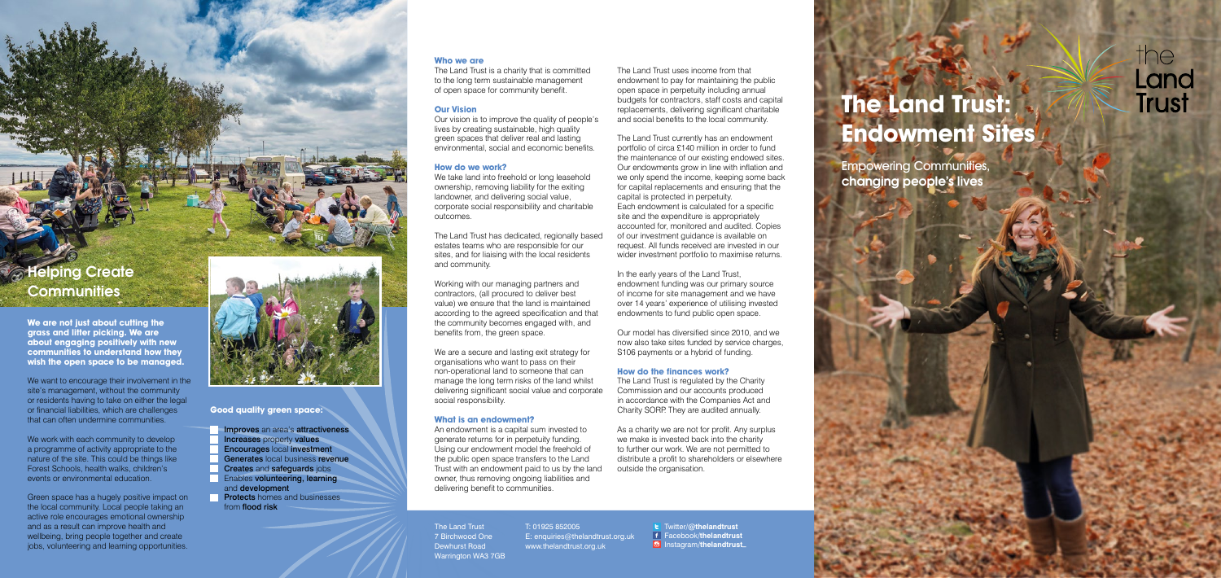# **The Land Trust: Endowment Sites**

Empowering Communities, changing people's lives

# the Land **Trust**

#### **Who we are**

The Land Trust is a charity that is committed to the long term sustainable management of open space for community benefit.

# **Our Vision**

Our vision is to improve the quality of people's lives by creating sustainable, high quality green spaces that deliver real and lasting environmental, social and economic benefits.

# **How do we work?**

We take land into freehold or long leasehold ownership, removing liability for the exiting landowner, and delivering social value, corporate social responsibility and charitable outcomes.

We are a secure and lasting exit strategy for organisations who want to pass on their non-operational land to someone that can manage the long term risks of the land whilst delivering significant social value and corporate social responsibility.

The Land Trust has dedicated, regionally based estates teams who are responsible for our sites, and for liaising with the local residents and community.

Working with our managing partners and contractors, (all procured to deliver best value) we ensure that the land is maintained according to the agreed specification and that the community becomes engaged with, and benefits from, the green space.

# **What is an endowment?**

In the early years of the Land Trust. endowment funding was our primary source of income for site management and we have over 14 years' experience of utilising invested endowments to fund public open space.

An endowment is a capital sum invested to generate returns for in perpetuity funding. Using our endowment model the freehold of the public open space transfers to the Land Trust with an endowment paid to us by the land owner, thus removing ongoing liabilities and delivering benefit to communities.

The Land Trust uses income from that endowment to pay for maintaining the public open space in perpetuity including annual budgets for contractors, staff costs and capital replacements, delivering significant charitable and social benefits to the local community.

We want to encourage their involvement in the site's management, without the community or residents having to take on either the legal or financial liabilities, which are challenges that can often undermine communities.

We work with each community to develop a programme of activity appropriate to the nature of the site. This could be things like Forest Schools, health walks, children's events or environmental education.

The Land Trust currently has an endowment portfolio of circa £140 million in order to fund the maintenance of our existing endowed sites. Our endowments grow in line with inflation and we only spend the income, keeping some back for capital replacements and ensuring that the capital is protected in perpetuity. Each endowment is calculated for a specific site and the expenditure is appropriately accounted for, monitored and audited. Copies of our investment guidance is available on request. All funds received are invested in our wider investment portfolio to maximise returns.

Our model has diversified since 2010, and we now also take sites funded by service charges, S106 payments or a hybrid of funding.

# **How do the finances work?**

The Land Trust is regulated by the Charity Commission and our accounts produced in accordance with the Companies Act and Charity SORP. They are audited annually.

As a charity we are not for profit. Any surplus we make is invested back into the charity to further our work. We are not permitted to distribute a profit to shareholders or elsewhere outside the organisation.

The Land Trust 7 Birchwood One Dewhurst Road

Warrington WA3 7GB

T: 01925 852005 E: enquiries@thelandtrust.org.uk www.thelandtrust.org.uk

**t** Twitter/@thelandtrust Facebook**/thelandtrust ID** Instagram/thelandtrust

#### **Good quality green space:**

- **Improves** an area's **attractiveness**
- **Increases property values**
- Encourages local investment
- Generates local business revenue
- **Creates and safeguards jobs Enables volunteering, learning**
- and development **Protects** homes and businesses
	- from flood risk

# **A**Helping Create **Communities**

**We are not just about cutting the grass and litter picking. We are about engaging positively with new communities to understand how they wish the open space to be managed.** 

Green space has a hugely positive impact on the local community. Local people taking an active role encourages emotional ownership and as a result can improve health and wellbeing, bring people together and create jobs, volunteering and learning opportunities.